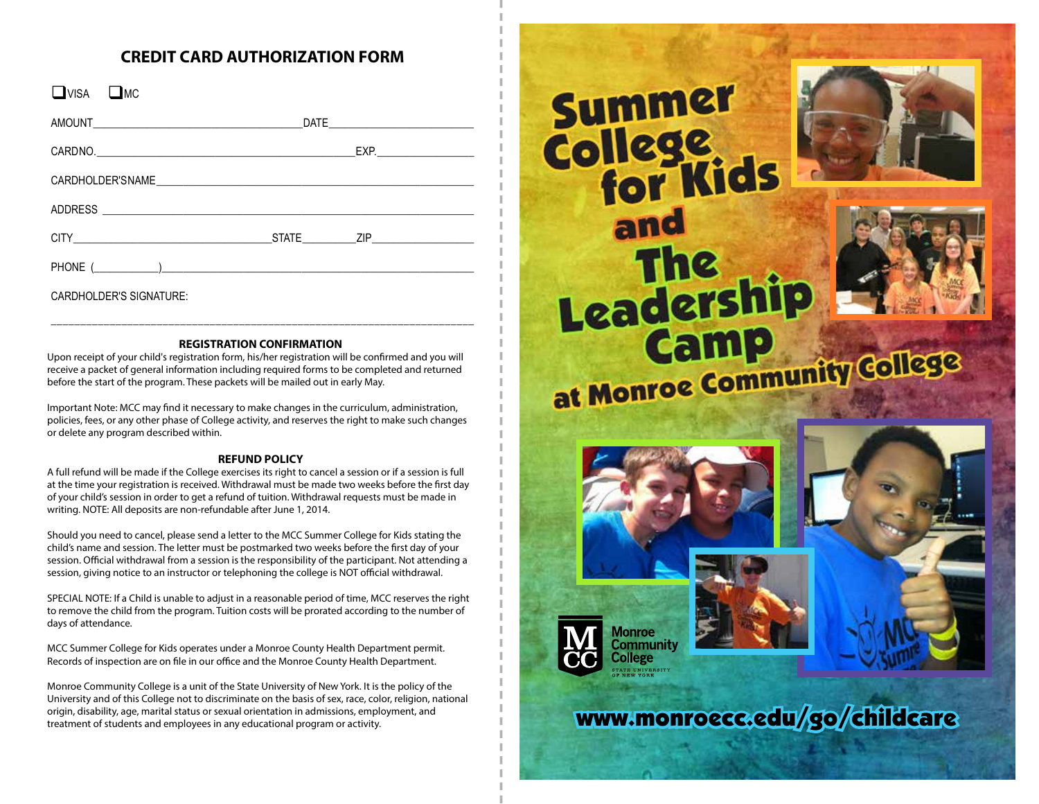## **CREDIT CARD AUTHORIZATION FORM**

| $\n  DWSA DMC$ |  |
|----------------|--|
|                |  |
|                |  |
|                |  |
|                |  |
|                |  |
|                |  |

CARDHOLDER'S SIGNATURE:

#### **REGISTRATION CONFIRMATION**

\_\_\_\_\_\_\_\_\_\_\_\_\_\_\_\_\_\_\_\_\_\_\_\_\_\_\_\_\_\_\_\_\_\_\_\_\_\_\_\_\_\_\_\_\_\_\_\_\_\_\_\_\_\_\_\_\_\_\_\_\_\_\_\_\_\_\_\_\_\_\_\_

Upon receipt of your child's registration form, his/her registration will be confirmed and you will receive a packet of general information including required forms to be completed and returned before the start of the program. These packets will be mailed out in early May.

Important Note: MCC may find it necessary to make changes in the curriculum, administration, policies, fees, or any other phase of College activity, and reserves the right to make such changes or delete any program described within.

#### **REFUND POLICY**

A full refund will be made if the College exercises its right to cancel a session or if a session is full at the time your registration is received. Withdrawal must be made two weeks before the first day of your child's session in order to get a refund of tuition. Withdrawal requests must be made in writing. NOTE: All deposits are non-refundable after June 1, 2014.

Should you need to cancel, please send a letter to the MCC Summer College for Kids stating the child's name and session. The letter must be postmarked two weeks before the first day of your session. Official withdrawal from a session is the responsibility of the participant. Not attending a session, giving notice to an instructor or telephoning the college is NOT official withdrawal.

SPECIAL NOTE: If a Child is unable to adjust in a reasonable period of time, MCC reserves the right to remove the child from the program. Tuition costs will be prorated according to the number of days of attendance.

MCC Summer College for Kids operates under a Monroe County Health Department permit. Records of inspection are on file in our office and the Monroe County Health Department.

Monroe Community College is a unit of the State University of New York. It is the policy of the University and of this College not to discriminate on the basis of sex, race, color, religion, national origin, disability, age, marital status or sexual orientation in admissions, employment, and treatment of students and employees in any educational program or activity.

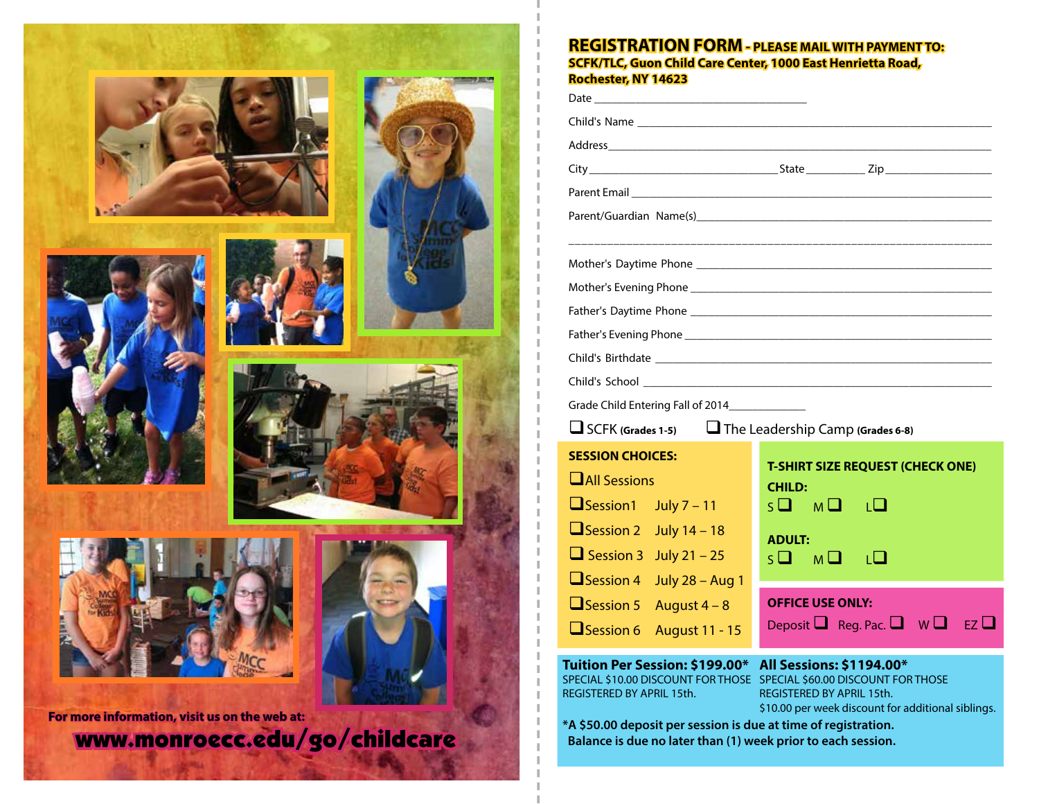

### **REGISTRATION FORM - PLEASE MAIL WITH PAYMENT TO: SCFK/TLC, Guon Child Care Center, 1000 East Henrietta Road, Rochester, NY 14623**

| Grade Child Entering Fall of 2014_______________                 |                                                    |
|------------------------------------------------------------------|----------------------------------------------------|
| $\Box$ SCFK (Grades 1-5) $\Box$ The Leadership Camp (Grades 6-8) |                                                    |
| <b>SESSION CHOICES:</b>                                          | <b>T-SHIRT SIZE REQUEST (CHECK ONE)</b>            |
| $\Box$ All Sessions                                              | <b>CHILD:</b>                                      |
| $\Box$ Session 1 July 7 – 11                                     | $S\Box$ $M\Box$ $L\Box$                            |
| $\Box$ Session 2 July 14 - 18                                    | <b>ADULT:</b>                                      |
| $\Box$ Session 3 July 21 – 25                                    | $S$ $\square$ $\square$ $\square$<br>⊤□            |
| Session 4 July 28 - Aug 1                                        |                                                    |
| $\Box$ Session 5 August 4 - 8                                    | <b>OFFICE USE ONLY:</b>                            |
| Session 6<br><b>August 11 - 15</b>                               | Deposit $\Box$ Reg. Pac. $\Box$ W $\Box$ EZ $\Box$ |

#### **All Sessions: \$1194.00\* Tuition Per Session: \$199.00\***

REGISTERED BY APRIL 15th.

SPECIAL \$10.00 DISCOUNT FOR THOSE SPECIAL \$60.00 DISCOUNT FOR THOSE REGISTERED BY APRIL 15th. \$10.00 per week discount for additional siblings.

 **Balance is due no later than (1) week prior to each session.**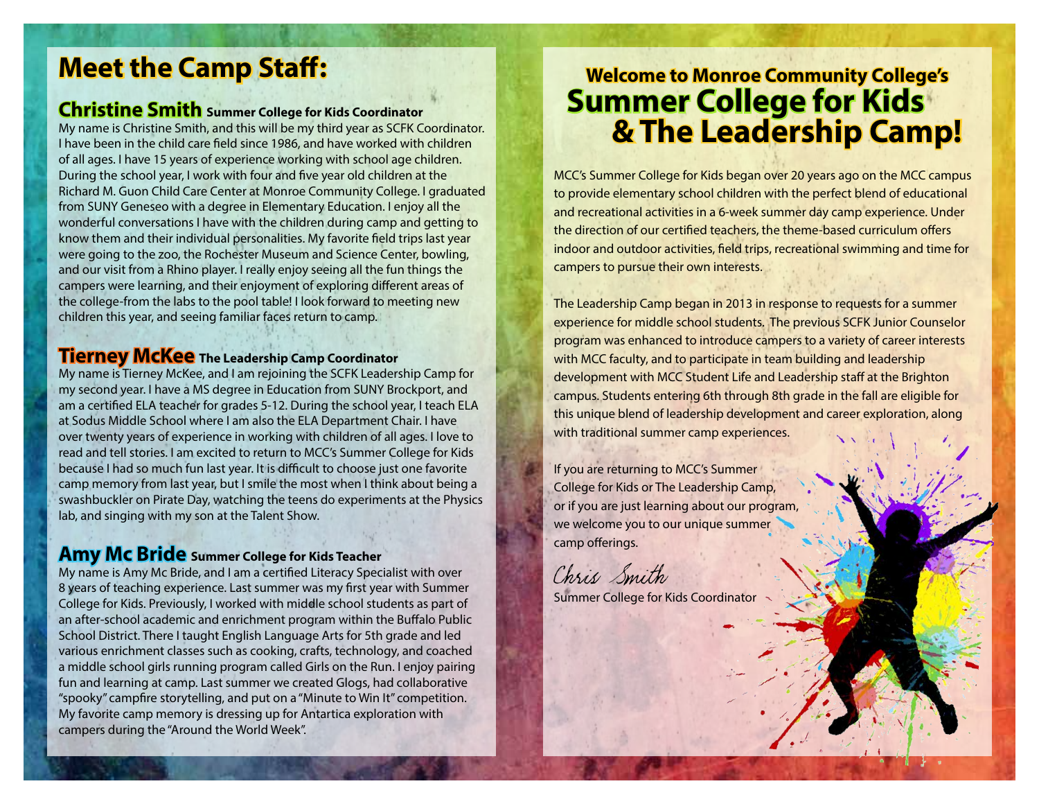# **Meet the Camp Staff:**

**Christine Smith Summer College for Kids Coordinator**

My name is Christine Smith, and this will be my third year as SCFK Coordinator. I have been in the child care field since 1986, and have worked with children of all ages. I have 15 years of experience working with school age children. During the school year, I work with four and five year old children at the Richard M. Guon Child Care Center at Monroe Community College. I graduated from SUNY Geneseo with a degree in Elementary Education. I enjoy all the wonderful conversations I have with the children during camp and getting to know them and their individual personalities. My favorite field trips last year were going to the zoo, the Rochester Museum and Science Center, bowling, and our visit from a Rhino player. I really enjoy seeing all the fun things the campers were learning, and their enjoyment of exploring different areas of the college-from the labs to the pool table! I look forward to meeting new children this year, and seeing familiar faces return to camp.

## **Tierney McKee The Leadership Camp Coordinator**

My name is Tierney McKee, and I am rejoining the SCFK Leadership Camp for my second year. I have a MS degree in Education from SUNY Brockport, and am a certified ELA teacher for grades 5-12. During the school year, I teach ELA at Sodus Middle School where I am also the ELA Department Chair. I have over twenty years of experience in working with children of all ages. I love to read and tell stories. I am excited to return to MCC's Summer College for Kids because I had so much fun last year. It is difficult to choose just one favorite camp memory from last year, but I smile the most when I think about being a swashbuckler on Pirate Day, watching the teens do experiments at the Physics lab, and singing with my son at the Talent Show.

## **Amy Mc Bride Summer College for Kids Teacher**

My name is Amy Mc Bride, and I am a certified Literacy Specialist with over 8 years of teaching experience. Last summer was my first year with Summer College for Kids. Previously, I worked with middle school students as part of an after-school academic and enrichment program within the Buffalo Public School District. There I taught English Language Arts for 5th grade and led various enrichment classes such as cooking, crafts, technology, and coached a middle school girls running program called Girls on the Run. I enjoy pairing fun and learning at camp. Last summer we created Glogs, had collaborative "spooky" campfire storytelling, and put on a "Minute to Win It" competition. My favorite camp memory is dressing up for Antartica exploration with campers during the "Around the World Week".

## **Welcome to Monroe Community College's Summer College for Kids & The Leadership Camp!**

MCC's Summer College for Kids began over 20 years ago on the MCC campus to provide elementary school children with the perfect blend of educational and recreational activities in a 6-week summer day camp experience. Under the direction of our certified teachers, the theme-based curriculum offers indoor and outdoor activities, field trips, recreational swimming and time for campers to pursue their own interests.

The Leadership Camp began in 2013 in response to requests for a summer experience for middle school students. The previous SCFK Junior Counselor program was enhanced to introduce campers to a variety of career interests with MCC faculty, and to participate in team building and leadership development with MCC Student Life and Leadership staff at the Brighton campus. Students entering 6th through 8th grade in the fall are eligible for this unique blend of leadership development and career exploration, along with traditional summer camp experiences.

If you are returning to MCC's Summer College for Kids or The Leadership Camp, or if you are just learning about our program, we welcome you to our unique summer camp offerings.

Chris Smith

Summer College for Kids Coordinator